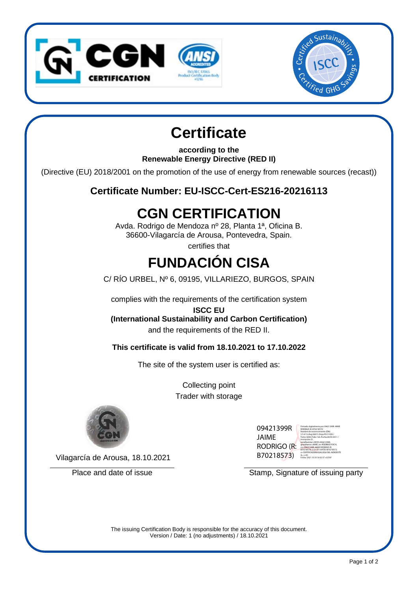



## **Certificate**

**according to the Renewable Energy Directive (RED II)**

(Directive (EU) 2018/2001 on the promotion of the use of energy from renewable sources (recast))

**Certificate Number: EU-ISCC-Cert-ES216-20216113**

## **CGN CERTIFICATION**

Avda. Rodrigo de Mendoza nº 28, Planta 1ª, Oficina B. 36600-Vilagarcía de Arousa, Pontevedra, Spain.

certifies that

# **FUNDACIÓN CISA**

C/ RÍO URBEL, Nº 6, 09195, VILLARIEZO, BURGOS, SPAIN

complies with the requirements of the certification system

**ISCC EU**

**(International Sustainability and Carbon Certification)** and the requirements of the RED II.

**This certificate is valid from 18.10.2021 to 17.10.2022**

The site of the system user is certified as:

Collecting point Trader with storage



Vilagarcía de Arousa, 18.10.2021

| 09421399R   | Firmad<br>RODRIG<br>Nombe                 |
|-------------|-------------------------------------------|
| JAIME       | 2.5.4.1<br>Tomo:<br>Inscrip               |
| rodrigo (r: | serialN<br>givenN<br>$cn = 094$<br>B70218 |
| B70218573)  | $o = CER$<br>$SL = E$<br>Fecha:           |

Firmado digitalmente por 09421399R JAIME RODRIGO (R: B70218573) Nombre de reconocimiento (DN): 2.5.4.13=Reg:36015 /Hoja:PO-51050 / Tomo:3698 /Folio:126 /Fecha:28/03/2011 / Inscripción:2ª, serialNumber=IDCES-09421399R, givenName=JAIME, sn=RODRIGO POCH, cn=09421399R JAIME RODRIGO (R: B70218573), 2.5.4.97=VATES-B70218573, o=CERTIFICADORA GALLEGA DEL NOROESTE SL, c=ES Fecha: 2021.10.18 16:02:37 +02'00'

Place and date of issue Stamp, Signature of issuing party

The issuing Certification Body is responsible for the accuracy of this document. Version / Date: 1 (no adjustments) / 18.10.2021